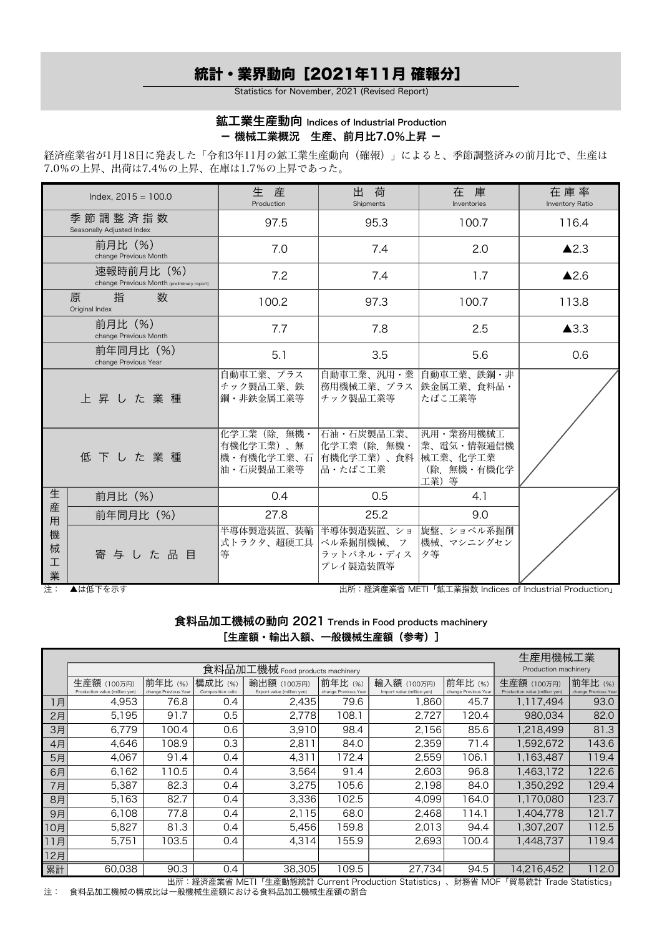# 統計・業界動向[2021年11月 確報分]

Statistics for November, 2021 (Revised Report)

### 鉱工業生産動向 Indices of Industrial Production - 機械工業概況 生産、前月比7.0%上昇 -

経済産業省が1月18日に発表した「令和3年11月の鉱工業生産動向(確報)」によると、季節調整済みの前月比で、生産は 7.0%の上昇、出荷は7.4%の上昇、在庫は1.7%の上昇であった。

|                  | Index, $2015 = 100.0$                                    | 生産<br>Production                                     | 出<br>荷<br>Shipments                                  | Inventories                                                  | 在 庫 率<br>Inventory Ratio |  |
|------------------|----------------------------------------------------------|------------------------------------------------------|------------------------------------------------------|--------------------------------------------------------------|--------------------------|--|
|                  | 季節調整済指数<br>Seasonally Adjusted Index                     | 97.5                                                 | 95.3                                                 | 100.7                                                        | 116.4                    |  |
|                  | 前月比 (%)<br>change Previous Month                         | 7.0                                                  | 7.4                                                  | 2.0                                                          | $\triangle$ 2.3          |  |
|                  | 速報時前月比 (%)<br>change Previous Month (preliminary report) | 7.2                                                  | 7.4                                                  | 1.7                                                          | $\triangle$ 2.6          |  |
|                  | 数<br>指<br>原<br>Original Index                            | 100.2                                                | 97.3                                                 | 100.7                                                        | 113.8                    |  |
|                  | 前月比 (%)<br>change Previous Month                         | 7.7                                                  | 7.8                                                  | 2.5                                                          | $\triangle$ 3.3          |  |
|                  | 前年同月比 (%)<br>change Previous Year                        | 5.1                                                  | 3.5                                                  | 5.6                                                          | 0.6                      |  |
|                  | 上昇した業種                                                   | 自動車工業、プラス<br>チック製品工業、鉄<br>鋼・非鉄金属工業等                  | 自動車工業、汎用・業<br>務用機械工業、プラス<br>チック製品工業等                 | 自動車工業、鉄鋼・非<br>鉄金属工業、食料品・<br> たばこ工業等                          |                          |  |
|                  | 低下した業種                                                   | 化学工業 (除. 無機・<br>有機化学工業)、無<br>機・有機化学工業、石<br>油・石炭製品工業等 | 石油・石炭製品工業、<br>化学工業 (除. 無機・<br> 有機化学工業)、食料<br>品・たばこ工業 | 汎用・業務用機械工<br>業、電気・情報通信機<br> 械工業、化学工業<br>(除. 無機・有機化学<br>工業) 等 |                          |  |
| 生                | 前月比 (%)                                                  | 0.4                                                  | 0.5                                                  | 4.1                                                          |                          |  |
| 産<br>用           | 前年同月比 (%)                                                | 27.8                                                 | 25.2                                                 | 9.0                                                          |                          |  |
| 機<br>械<br>工<br>業 | 寄与した品目                                                   | 半導体製造装置、装輪<br>式トラクタ、超硬工具<br>等                        | 半導体製造装置、ショ<br>ベル系掘削機械、 フ<br>ラットパネル・ディス<br>プレイ製造装置等   | 旋盤、ショベル系掘削<br> 機械、マシニングセン<br>夕等                              |                          |  |

注: ▲は低下を示す 出所:経済産業省 METI「鉱工業指数 Indices of Industrial Production」

食料品加工機械の動向 2021 Trends in Food products machinery [生産額・輸出入額、一般機械生産額 (参考)]

| 前年比(%)<br>生産額 (100万円)<br>構成比 (%)<br>Composition ratio<br>Production value (million yen)<br>change Previous Year<br>Export value (million yen)<br>76.8<br>4,953<br>2,435<br>0.4<br>1月<br>5,195<br>91.7<br>2月<br>0.5<br>2.778<br>3月<br>6,779<br>100.4<br>0.6<br>3,910 |                                 |                            |                              |                                |                      |  |  |  |  |  |
|---------------------------------------------------------------------------------------------------------------------------------------------------------------------------------------------------------------------------------------------------------------------|---------------------------------|----------------------------|------------------------------|--------------------------------|----------------------|--|--|--|--|--|
|                                                                                                                                                                                                                                                                     | 食料品加工機械 Food products machinery |                            |                              |                                |                      |  |  |  |  |  |
|                                                                                                                                                                                                                                                                     | 前年比(%)<br>輸出額 (100万円)           |                            | 前年比(%)                       | 生産額 (100万円)                    | 前年比(%)               |  |  |  |  |  |
|                                                                                                                                                                                                                                                                     | change Previous Year            | Import value (million yen) | change Previous Year<br>45.7 | Production value (million yen) | change Previous Year |  |  |  |  |  |
|                                                                                                                                                                                                                                                                     | 79.6                            | 038, 1                     |                              | 1,117,494                      | 93.0                 |  |  |  |  |  |
|                                                                                                                                                                                                                                                                     | 108.1                           | 2,727                      | 120.4                        | 980,034                        | 82.0                 |  |  |  |  |  |
|                                                                                                                                                                                                                                                                     | 98.4                            | 2,156                      | 85.6                         | 1,218,499                      | 81.3                 |  |  |  |  |  |
| 0.3<br>4,646<br>108.9<br>2,811<br>4月                                                                                                                                                                                                                                | 84.0                            | 2,359                      | 71.4                         | 1,592,672                      | 143.6                |  |  |  |  |  |
| 4,067<br>4,311<br>5月<br>91.4<br>0.4                                                                                                                                                                                                                                 | 172.4                           | 2,559                      | 106.1                        | 1,163,487                      | 119.4                |  |  |  |  |  |
| 6,162<br>110.5<br>3,564<br>6月<br>0.4                                                                                                                                                                                                                                | 91.4                            | 2,603                      | 96.8                         | 1,463,172                      | 122.6                |  |  |  |  |  |
| 82.3<br>5,387<br>3,275<br>7月<br>0.4                                                                                                                                                                                                                                 | 105.6                           | 2,198                      | 84.0                         | 1.350.292                      | 129.4                |  |  |  |  |  |
| 82.7<br>3,336<br>8月<br>5,163<br>0.4                                                                                                                                                                                                                                 | 102.5                           | 4.099                      | 164.0                        | 1,170,080                      | 123.7                |  |  |  |  |  |
| 77.8<br>6,108<br>2,115<br>0.4<br>9月                                                                                                                                                                                                                                 | 68.0                            | 2,468                      | 114.1                        | 1,404,778                      | 121.7                |  |  |  |  |  |
| 5,827<br>81.3<br>5,456<br>0.4<br>10月                                                                                                                                                                                                                                | 159.8                           | 2,013                      | 94.4                         | 1,307,207                      | 112.5                |  |  |  |  |  |
| 103.5<br>11月<br>5,751<br>0.4<br>4,314                                                                                                                                                                                                                               | 155.9                           | 2,693                      | 100.4                        | 1,448,737                      | 119.4                |  |  |  |  |  |
| 12月                                                                                                                                                                                                                                                                 |                                 |                            |                              |                                |                      |  |  |  |  |  |
| 60,038<br>90.3<br>0.4<br>38,305<br>累計                                                                                                                                                                                                                               |                                 |                            |                              |                                |                      |  |  |  |  |  |

出所:経済産業省 METI「生産動態統計 Current Production Statistics」、財務省 MOF「貿易統計 Trade Statistics」 注: 食料品加工機械の構成比は一般機械生産額における食料品加工機械生産額の割合